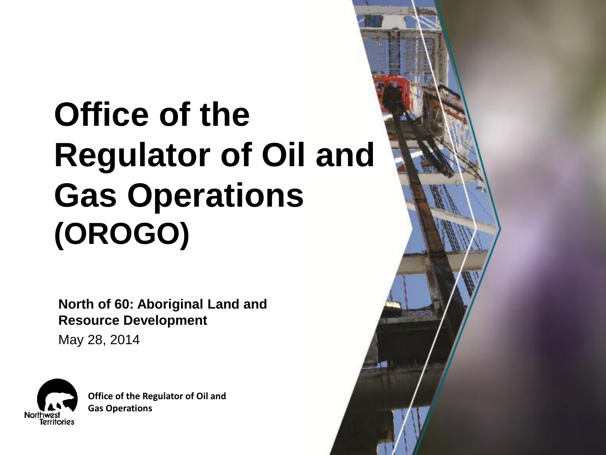# **Office of the Regulator of Oil and Gas Operations (OROGO)**

**North of 60: Aboriginal Land and Resource Development**

May 28, 2014



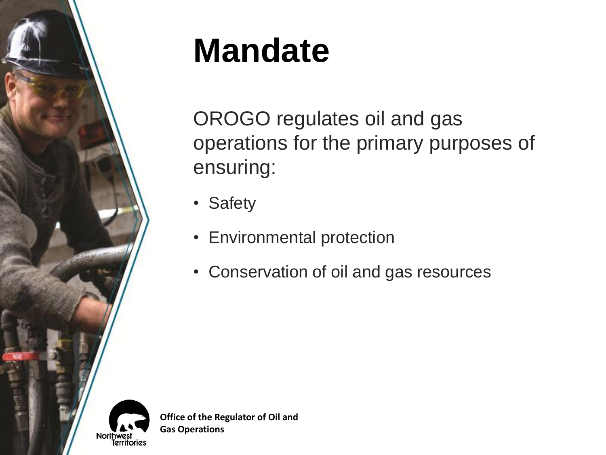

# **Mandate**

OROGO regulates oil and gas operations for the primary purposes of ensuring:

- Safety
- Environmental protection
- Conservation of oil and gas resources

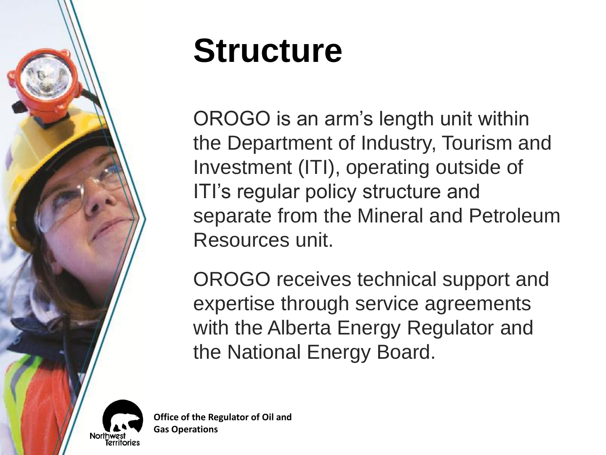

# **Structure**

OROGO is an arm's length unit within the Department of Industry, Tourism and Investment (ITI), operating outside of ITI's regular policy structure and separate from the Mineral and Petroleum Resources unit.

OROGO receives technical support and expertise through service agreements with the Alberta Energy Regulator and the National Energy Board.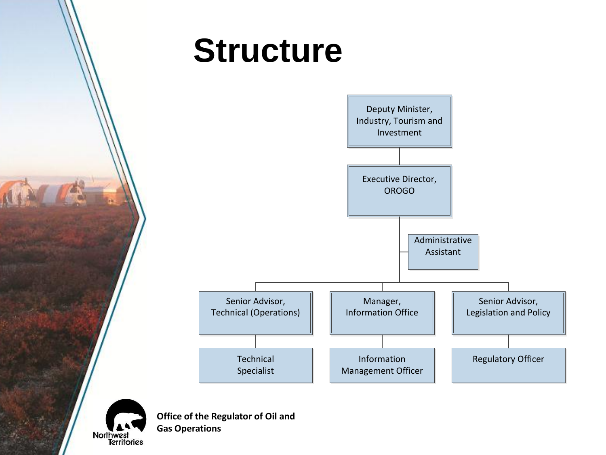# **Structure**



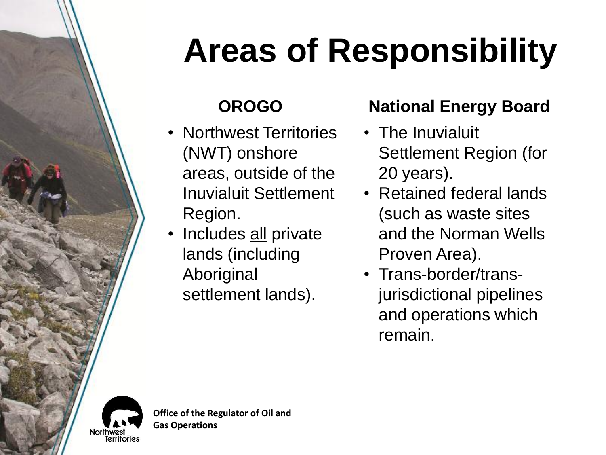# **Areas of Responsibility**

- Northwest Territories (NWT) onshore areas, outside of the Inuvialuit Settlement Region.
- Includes all private lands (including Aboriginal settlement lands).

### **OROGO National Energy Board**

- The Inuvialuit Settlement Region (for 20 years).
- Retained federal lands (such as waste sites and the Norman Wells Proven Area).
- Trans-border/transjurisdictional pipelines and operations which remain.

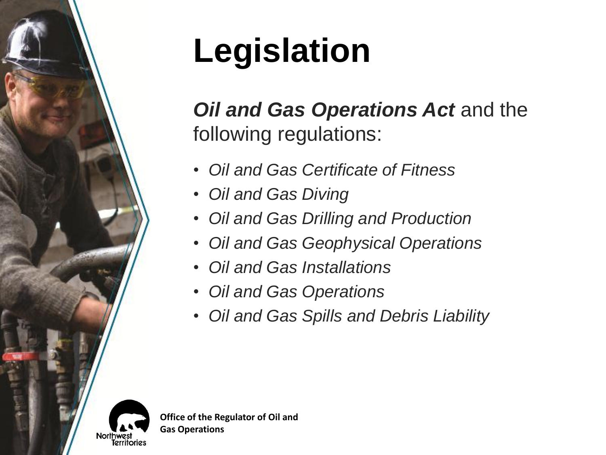# **Legislation**

### *Oil and Gas Operations Act* and the following regulations:

- *Oil and Gas Certificate of Fitness*
- *Oil and Gas Diving*
- *Oil and Gas Drilling and Production*
- *Oil and Gas Geophysical Operations*
- *Oil and Gas Installations*
- *Oil and Gas Operations*
- *Oil and Gas Spills and Debris Liability*

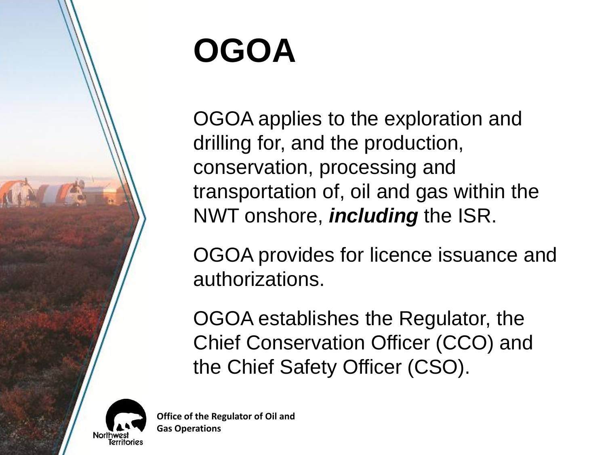

# **OGOA**

OGOA applies to the exploration and drilling for, and the production, conservation, processing and transportation of, oil and gas within the NWT onshore, *including* the ISR.

OGOA provides for licence issuance and authorizations.

OGOA establishes the Regulator, the Chief Conservation Officer (CCO) and the Chief Safety Officer (CSO).

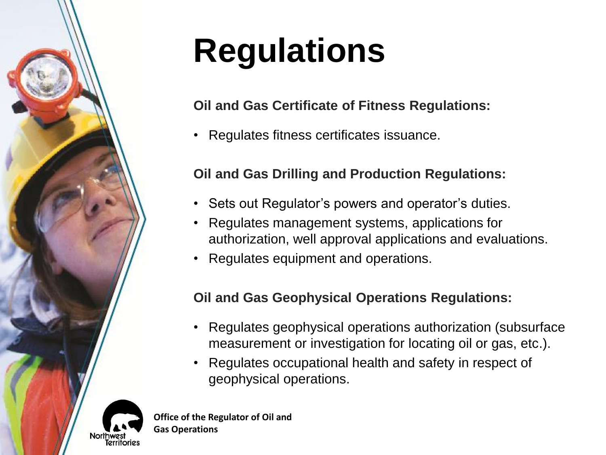# **Northwas** Territories

**Regulations**

### **Oil and Gas Certificate of Fitness Regulations:**

• Regulates fitness certificates issuance.

### **Oil and Gas Drilling and Production Regulations:**

- Sets out Regulator's powers and operator's duties.
- Regulates management systems, applications for authorization, well approval applications and evaluations.
- Regulates equipment and operations.

### **Oil and Gas Geophysical Operations Regulations:**

- Regulates geophysical operations authorization (subsurface measurement or investigation for locating oil or gas, etc.).
- Regulates occupational health and safety in respect of geophysical operations.

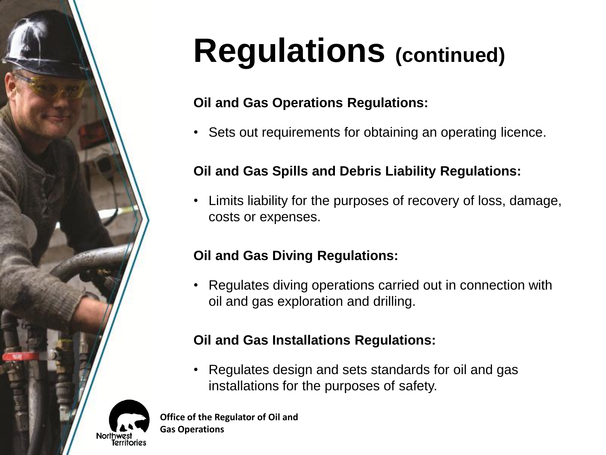# **Regulations (continued)**

### **Oil and Gas Operations Regulations:**

• Sets out requirements for obtaining an operating licence.

### **Oil and Gas Spills and Debris Liability Regulations:**

• Limits liability for the purposes of recovery of loss, damage, costs or expenses.

### **Oil and Gas Diving Regulations:**

• Regulates diving operations carried out in connection with oil and gas exploration and drilling.

### **Oil and Gas Installations Regulations:**

• Regulates design and sets standards for oil and gas installations for the purposes of safety.

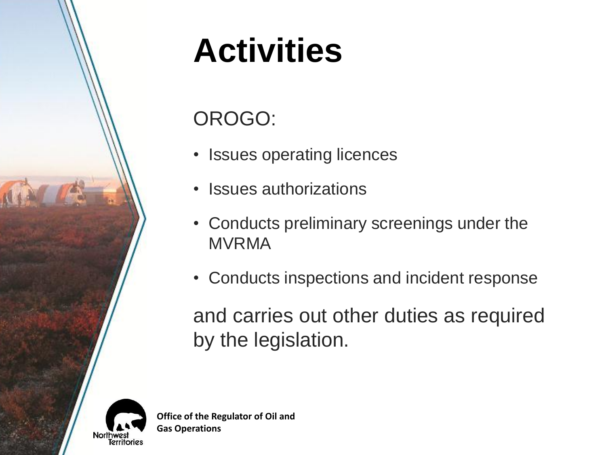# **Activities**

## OROGO:

- Issues operating licences
- Issues authorizations
- Conducts preliminary screenings under the MVRMA
- Conducts inspections and incident response

and carries out other duties as required by the legislation.